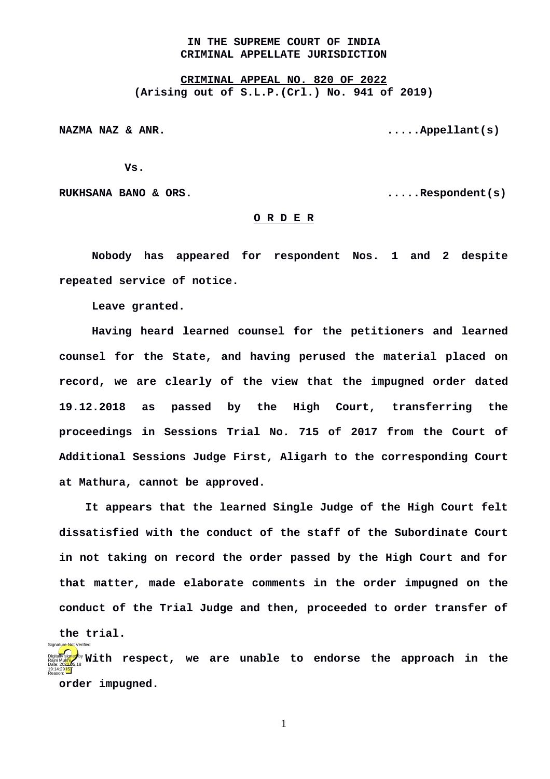## **IN THE SUPREME COURT OF INDIA CRIMINAL APPELLATE JURISDICTION**

**CRIMINAL APPEAL NO. 820 OF 2022 (Arising out of S.L.P.(Crl.) No. 941 of 2019)**

**NAZMA NAZ & ANR. .....Appellant(s)**

**Vs.**

**RUKHSANA BANO & ORS. .....Respondent(s)**

## **O R D E R**

**Nobody has appeared for respondent Nos. 1 and 2 despite repeated service of notice.** 

**Leave granted.**

Signature Not Verified

**Having heard learned counsel for the petitioners and learned counsel for the State, and having perused the material placed on record, we are clearly of the view that the impugned order dated 19.12.2018 as passed by the High Court, transferring the proceedings in Sessions Trial No. 715 of 2017 from the Court of Additional Sessions Judge First, Aligarh to the corresponding Court at Mathura, cannot be approved.** 

**It appears that the learned Single Judge of the High Court felt dissatisfied with the conduct of the staff of the Subordinate Court in not taking on record the order passed by the High Court and for that matter, made elaborate comments in the order impugned on the conduct of the Trial Judge and then, proceeded to order transfer of the trial.**

**With respect, we are unable to endorse the approach in the order impugned.**  Rajni Mukhi Date: 2022.05.18 19:14:29 IST Reason:

1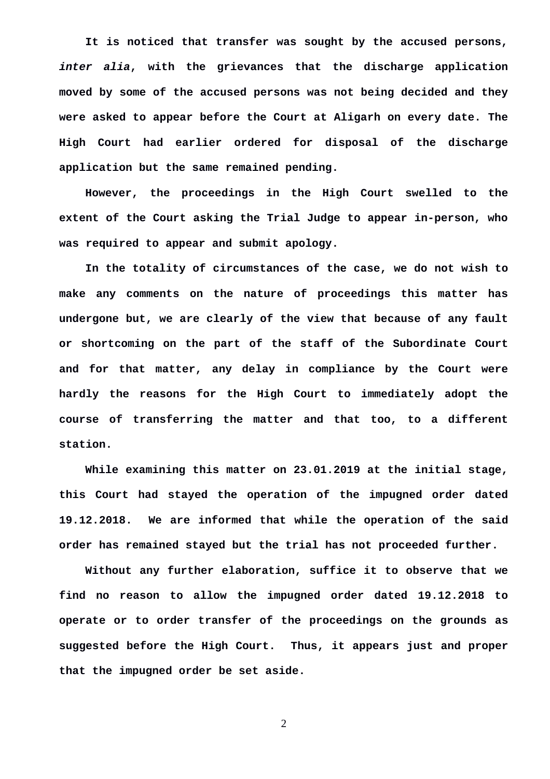**It is noticed that transfer was sought by the accused persons,** *inter alia***, with the grievances that the discharge application moved by some of the accused persons was not being decided and they were asked to appear before the Court at Aligarh on every date. The High Court had earlier ordered for disposal of the discharge application but the same remained pending.** 

**However, the proceedings in the High Court swelled to the extent of the Court asking the Trial Judge to appear in-person, who was required to appear and submit apology.**

**In the totality of circumstances of the case, we do not wish to make any comments on the nature of proceedings this matter has undergone but, we are clearly of the view that because of any fault or shortcoming on the part of the staff of the Subordinate Court and for that matter, any delay in compliance by the Court were hardly the reasons for the High Court to immediately adopt the course of transferring the matter and that too, to a different station.** 

**While examining this matter on 23.01.2019 at the initial stage, this Court had stayed the operation of the impugned order dated 19.12.2018. We are informed that while the operation of the said order has remained stayed but the trial has not proceeded further.**

**Without any further elaboration, suffice it to observe that we find no reason to allow the impugned order dated 19.12.2018 to operate or to order transfer of the proceedings on the grounds as suggested before the High Court. Thus, it appears just and proper that the impugned order be set aside.** 

2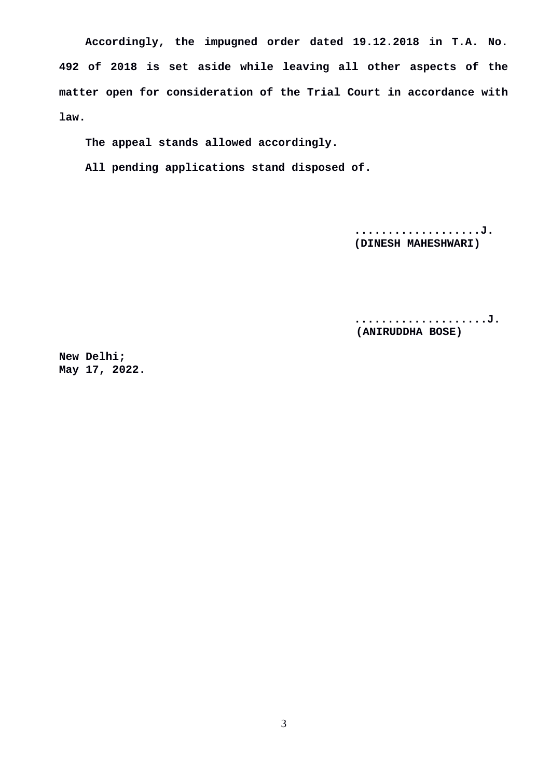**Accordingly, the impugned order dated 19.12.2018 in T.A. No. 492 of 2018 is set aside while leaving all other aspects of the matter open for consideration of the Trial Court in accordance with law.** 

**The appeal stands allowed accordingly.** 

**All pending applications stand disposed of.**

**...................J. (DINESH MAHESHWARI)**

**....................J. (ANIRUDDHA BOSE)**

**New Delhi; May 17, 2022.**